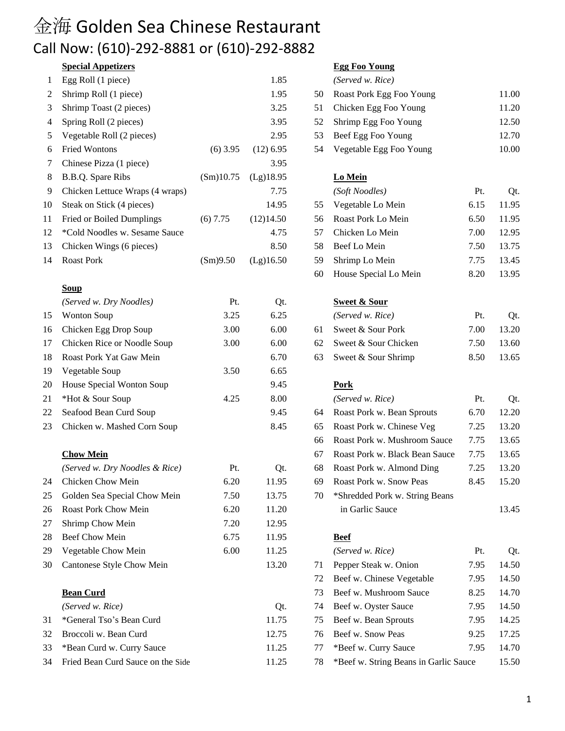## 金海 Golden Sea Chinese Restaurant Call Now: (610)-292-8881 or (610)-292-8882

## **Special Appetizers Egg Foo Young**

| 1  | Egg Roll (1 piece)                |            | 1.85        |    | (Served w. Rice)                      |      |       |
|----|-----------------------------------|------------|-------------|----|---------------------------------------|------|-------|
| 2  | Shrimp Roll (1 piece)             |            | 1.95        | 50 | Roast Pork Egg Foo Young              |      | 11.00 |
| 3  | Shrimp Toast (2 pieces)           |            | 3.25        | 51 | Chicken Egg Foo Young                 |      | 11.20 |
| 4  | Spring Roll (2 pieces)            |            | 3.95        | 52 | Shrimp Egg Foo Young                  |      | 12.50 |
| 5  | Vegetable Roll (2 pieces)         |            | 2.95        | 53 | Beef Egg Foo Young                    |      | 12.70 |
| 6  | <b>Fried Wontons</b>              | $(6)$ 3.95 | $(12)$ 6.95 | 54 | Vegetable Egg Foo Young               |      | 10.00 |
| 7  | Chinese Pizza (1 piece)           |            | 3.95        |    |                                       |      |       |
| 8  | B.B.Q. Spare Ribs                 | (Sm)10.75  | (Lg)18.95   |    | Lo Mein                               |      |       |
| 9  | Chicken Lettuce Wraps (4 wraps)   |            | 7.75        |    | (Soft Noodles)                        | Pt.  | Qt.   |
| 10 | Steak on Stick (4 pieces)         |            | 14.95       | 55 | Vegetable Lo Mein                     | 6.15 | 11.95 |
| 11 | <b>Fried or Boiled Dumplings</b>  | $(6)$ 7.75 | (12)14.50   | 56 | Roast Pork Lo Mein                    | 6.50 | 11.95 |
| 12 | *Cold Noodles w. Sesame Sauce     |            | 4.75        | 57 | Chicken Lo Mein                       | 7.00 | 12.95 |
| 13 | Chicken Wings (6 pieces)          |            | 8.50        | 58 | Beef Lo Mein                          | 7.50 | 13.75 |
| 14 | <b>Roast Pork</b>                 | (Sm)9.50   | (Lg)16.50   | 59 | Shrimp Lo Mein                        | 7.75 | 13.45 |
|    |                                   |            |             | 60 | House Special Lo Mein                 | 8.20 | 13.95 |
|    | <b>Soup</b>                       |            |             |    |                                       |      |       |
|    | (Served w. Dry Noodles)           | Pt.        | Qt.         |    | <b>Sweet &amp; Sour</b>               |      |       |
| 15 | <b>Wonton Soup</b>                | 3.25       | 6.25        |    | (Served w. Rice)                      | Pt.  | Qt.   |
| 16 | Chicken Egg Drop Soup             | 3.00       | 6.00        | 61 | Sweet & Sour Pork                     | 7.00 | 13.20 |
| 17 | Chicken Rice or Noodle Soup       | 3.00       | 6.00        | 62 | Sweet & Sour Chicken                  | 7.50 | 13.60 |
| 18 | Roast Pork Yat Gaw Mein           |            | 6.70        | 63 | Sweet & Sour Shrimp                   | 8.50 | 13.65 |
| 19 | Vegetable Soup                    | 3.50       | 6.65        |    |                                       |      |       |
| 20 | House Special Wonton Soup         |            | 9.45        |    | <b>Pork</b>                           |      |       |
| 21 | *Hot & Sour Soup                  | 4.25       | 8.00        |    | (Served w. Rice)                      | Pt.  | Qt.   |
| 22 | Seafood Bean Curd Soup            |            | 9.45        | 64 | Roast Pork w. Bean Sprouts            | 6.70 | 12.20 |
| 23 | Chicken w. Mashed Corn Soup       |            | 8.45        | 65 | Roast Pork w. Chinese Veg             | 7.25 | 13.20 |
|    |                                   |            |             | 66 | Roast Pork w. Mushroom Sauce          | 7.75 | 13.65 |
|    | <b>Chow Mein</b>                  |            |             | 67 | Roast Pork w. Black Bean Sauce        | 7.75 | 13.65 |
|    | (Served w. Dry Noodles & Rice)    | Pt.        | Qt.         | 68 | Roast Pork w. Almond Ding             | 7.25 | 13.20 |
| 24 | Chicken Chow Mein                 | 6.20       | 11.95       | 69 | Roast Pork w. Snow Peas               | 8.45 | 15.20 |
| 25 | Golden Sea Special Chow Mein      | 7.50       | 13.75       | 70 | *Shredded Pork w. String Beans        |      |       |
| 26 | Roast Pork Chow Mein              | 6.20       | 11.20       |    | in Garlic Sauce                       |      | 13.45 |
| 27 | Shrimp Chow Mein                  | 7.20       | 12.95       |    |                                       |      |       |
| 28 | <b>Beef Chow Mein</b>             | 6.75       | 11.95       |    | <b>Beef</b>                           |      |       |
| 29 | Vegetable Chow Mein               | 6.00       | 11.25       |    | (Served w. Rice)                      | Pt.  | Qt.   |
| 30 | Cantonese Style Chow Mein         |            | 13.20       | 71 | Pepper Steak w. Onion                 | 7.95 | 14.50 |
|    |                                   |            |             | 72 | Beef w. Chinese Vegetable             | 7.95 | 14.50 |
|    | <b>Bean Curd</b>                  |            |             | 73 | Beef w. Mushroom Sauce                | 8.25 | 14.70 |
|    | (Served w. Rice)                  |            | Qt.         | 74 | Beef w. Oyster Sauce                  | 7.95 | 14.50 |
| 31 | *General Tso's Bean Curd          |            | 11.75       | 75 | Beef w. Bean Sprouts                  | 7.95 | 14.25 |
| 32 | Broccoli w. Bean Curd             |            | 12.75       | 76 | Beef w. Snow Peas                     | 9.25 | 17.25 |
| 33 | *Bean Curd w. Curry Sauce         |            | 11.25       | 77 | *Beef w. Curry Sauce                  | 7.95 | 14.70 |
| 34 | Fried Bean Curd Sauce on the Side |            | 11.25       | 78 | *Beef w. String Beans in Garlic Sauce |      | 15.50 |

|     | (Served w. Rice)         |       |
|-----|--------------------------|-------|
| 50  | Roast Pork Egg Foo Young | 11.00 |
| 51  | Chicken Egg Foo Young    | 11.20 |
| 52. | Shrimp Egg Foo Young     | 12.50 |
| 53  | Beef Egg Foo Young       | 12.70 |
| 54  | Vegetable Egg Foo Young  | 10.00 |

### $Lo$  Mein

|     | (Soft Noodles)        | Pt.  | Ot.   |
|-----|-----------------------|------|-------|
| 55  | Vegetable Lo Mein     | 6.15 | 11.95 |
| 56. | Roast Pork Lo Mein    | 6.50 | 11.95 |
| 57  | Chicken Lo Mein       | 7.00 | 12.95 |
| 58  | Beef Lo Mein          | 7.50 | 13.75 |
| 59  | Shrimp Lo Mein        | 7.75 | 13.45 |
| 60  | House Special Lo Mein | 8.20 | 13.95 |

## **Sweet & Sour**

| (Served w. Rice)        | Pt.  | Ot.   |
|-------------------------|------|-------|
| 61 Sweet & Sour Pork    | 7.00 | 13.20 |
| 62 Sweet & Sour Chicken | 7.50 | 13.60 |
| 63 Sweet & Sour Shrimp  | 8.50 | 13.65 |

|    | (Served w. Rice)               | Pt.  | Qt.   |
|----|--------------------------------|------|-------|
| 64 | Roast Pork w. Bean Sprouts     | 6.70 | 12.20 |
| 65 | Roast Pork w. Chinese Veg      | 7.25 | 13.20 |
| 66 | Roast Pork w. Mushroom Sauce   | 7.75 | 13.65 |
| 67 | Roast Pork w. Black Bean Sauce | 7.75 | 13.65 |
| 68 | Roast Pork w. Almond Ding      | 7.25 | 13.20 |
| 69 | Roast Pork w. Snow Peas        | 8.45 | 15.20 |
| 70 | *Shredded Pork w. String Beans |      |       |
|    | in Garlic Sauce                |      | 13.45 |

|    | (Served w. Rice)                      | Pt.  | Qt.   |
|----|---------------------------------------|------|-------|
| 71 | Pepper Steak w. Onion                 | 7.95 | 14.50 |
| 72 | Beef w. Chinese Vegetable             | 7.95 | 14.50 |
| 73 | Beef w. Mushroom Sauce                | 8.25 | 14.70 |
| 74 | Beef w. Oyster Sauce                  | 7.95 | 14.50 |
| 75 | Beef w. Bean Sprouts                  | 7.95 | 14.25 |
| 76 | Beef w. Snow Peas                     | 9.25 | 17.25 |
| 77 | *Beef w. Curry Sauce                  | 7.95 | 14.70 |
| 78 | *Beef w. String Beans in Garlic Sauce |      | 15.50 |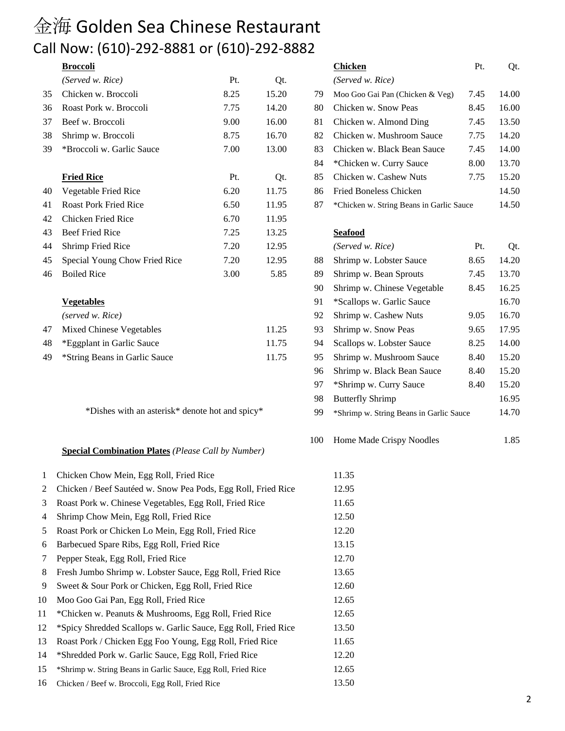# 金海 Golden Sea Chinese Restaurant Call Now: (610)-292-8881 or (610)-292-8882

|    | (Served w. Rice)                | Pt.  | Qt.   |    | (Served w. Rice)                         |      |       |
|----|---------------------------------|------|-------|----|------------------------------------------|------|-------|
| 35 | Chicken w. Broccoli             | 8.25 | 15.20 | 79 | Moo Goo Gai Pan (Chicken & Veg)          | 7.45 | 14.00 |
| 36 | Roast Pork w. Broccoli          | 7.75 | 14.20 | 80 | Chicken w. Snow Peas                     | 8.45 | 16.00 |
| 37 | Beef w. Broccoli                | 9.00 | 16.00 | 81 | Chicken w. Almond Ding                   | 7.45 | 13.50 |
| 38 | Shrimp w. Broccoli              | 8.75 | 16.70 | 82 | Chicken w. Mushroom Sauce                | 7.75 | 14.20 |
| 39 | *Broccoli w. Garlic Sauce       | 7.00 | 13.00 | 83 | Chicken w. Black Bean Sauce              | 7.45 | 14.00 |
|    |                                 |      |       | 84 | *Chicken w. Curry Sauce                  | 8.00 | 13.70 |
|    | <b>Fried Rice</b>               | Pt.  | Qt.   | 85 | Chicken w. Cashew Nuts                   | 7.75 | 15.20 |
| 40 | Vegetable Fried Rice            | 6.20 | 11.75 | 86 | <b>Fried Boneless Chicken</b>            |      | 14.50 |
| 41 | <b>Roast Pork Fried Rice</b>    | 6.50 | 11.95 | 87 | *Chicken w. String Beans in Garlic Sauce |      | 14.50 |
| 42 | Chicken Fried Rice              | 6.70 | 11.95 |    |                                          |      |       |
| 43 | Beef Fried Rice                 | 7.25 | 13.25 |    | <b>Seafood</b>                           |      |       |
| 44 | Shrimp Fried Rice               | 7.20 | 12.95 |    | (Served w. Rice)                         | Pt.  | Qt.   |
| 45 | Special Young Chow Fried Rice   | 7.20 | 12.95 | 88 | Shrimp w. Lobster Sauce                  | 8.65 | 14.20 |
| 46 | <b>Boiled Rice</b>              | 3.00 | 5.85  | 89 | Shrimp w. Bean Sprouts                   | 7.45 | 13.70 |
|    |                                 |      |       | 90 | Shrimp w. Chinese Vegetable              | 8.45 | 16.25 |
|    | <b>Vegetables</b>               |      |       | 91 | *Scallops w. Garlic Sauce                |      | 16.70 |
|    | (served w. Rice)                |      |       | 92 | Shrimp w. Cashew Nuts                    | 9.05 | 16.70 |
| 47 | <b>Mixed Chinese Vegetables</b> |      | 11.25 | 93 | Shrimp w. Snow Peas                      | 9.65 | 17.95 |
| 48 | *Eggplant in Garlic Sauce       |      | 11.75 | 94 | Scallops w. Lobster Sauce                | 8.25 | 14.00 |
| 49 | *String Beans in Garlic Sauce   |      | 11.75 | 95 | Shrimp w. Mushroom Sauce                 | 8.40 | 15.20 |

#### **Special Combination Plates** *(Please Call by Number)*

| 1  | Chicken Chow Mein, Egg Roll, Fried Rice                        | 11.35 |
|----|----------------------------------------------------------------|-------|
| 2  | Chicken / Beef Sautéed w. Snow Pea Pods, Egg Roll, Fried Rice  | 12.95 |
| 3  | Roast Pork w. Chinese Vegetables, Egg Roll, Fried Rice         | 11.65 |
| 4  | Shrimp Chow Mein, Egg Roll, Fried Rice                         | 12.50 |
| 5  | Roast Pork or Chicken Lo Mein, Egg Roll, Fried Rice            | 12.20 |
| 6  | Barbecued Spare Ribs, Egg Roll, Fried Rice                     | 13.15 |
| 7  | Pepper Steak, Egg Roll, Fried Rice                             | 12.70 |
| 8  | Fresh Jumbo Shrimp w. Lobster Sauce, Egg Roll, Fried Rice      | 13.65 |
| 9  | Sweet & Sour Pork or Chicken, Egg Roll, Fried Rice             | 12.60 |
| 10 | Moo Goo Gai Pan, Egg Roll, Fried Rice                          | 12.65 |
| 11 | *Chicken w. Peanuts & Mushrooms, Egg Roll, Fried Rice          | 12.65 |
| 12 | *Spicy Shredded Scallops w. Garlic Sauce, Egg Roll, Fried Rice | 13.50 |
| 13 | Roast Pork / Chicken Egg Foo Young, Egg Roll, Fried Rice       | 11.65 |
| 14 | *Shredded Pork w. Garlic Sauce, Egg Roll, Fried Rice           | 12.20 |
| 15 | *Shrimp w. String Beans in Garlic Sauce, Egg Roll, Fried Rice  | 12.65 |
| 16 | Chicken / Beef w. Broccoli, Egg Roll, Fried Rice               | 13.50 |

| NOW. (UIU) ZJZ OOOI UI (UIU) ZJZ OOOZ           |      |       |     |                                          |      |       |
|-------------------------------------------------|------|-------|-----|------------------------------------------|------|-------|
| <u>Broccoli</u>                                 |      |       |     | <b>Chicken</b>                           | Pt.  | Qt.   |
| (Served w. Rice)                                | Pt.  | Qt.   |     | (Served w. Rice)                         |      |       |
| Chicken w. Broccoli                             | 8.25 | 15.20 | 79  | Moo Goo Gai Pan (Chicken & Veg)          | 7.45 | 14.00 |
| Roast Pork w. Broccoli                          | 7.75 | 14.20 | 80  | Chicken w. Snow Peas                     | 8.45 | 16.00 |
| Beef w. Broccoli                                | 9.00 | 16.00 | 81  | Chicken w. Almond Ding                   | 7.45 | 13.50 |
| Shrimp w. Broccoli                              | 8.75 | 16.70 | 82  | Chicken w. Mushroom Sauce                | 7.75 | 14.20 |
| *Broccoli w. Garlic Sauce                       | 7.00 | 13.00 | 83  | Chicken w. Black Bean Sauce              | 7.45 | 14.00 |
|                                                 |      |       | 84  | *Chicken w. Curry Sauce                  | 8.00 | 13.70 |
| <u>Fried Rice</u>                               | Pt.  | Qt.   | 85  | Chicken w. Cashew Nuts                   | 7.75 | 15.20 |
| Vegetable Fried Rice                            | 6.20 | 11.75 | 86  | Fried Boneless Chicken                   |      | 14.50 |
| <b>Roast Pork Fried Rice</b>                    | 6.50 | 11.95 | 87  | *Chicken w. String Beans in Garlic Sauce |      | 14.50 |
| <b>Chicken Fried Rice</b>                       | 6.70 | 11.95 |     |                                          |      |       |
| <b>Beef Fried Rice</b>                          | 7.25 | 13.25 |     | <b>Seafood</b>                           |      |       |
| <b>Shrimp Fried Rice</b>                        | 7.20 | 12.95 |     | (Served w. Rice)                         | Pt.  | Qt.   |
| Special Young Chow Fried Rice                   | 7.20 | 12.95 | 88  | Shrimp w. Lobster Sauce                  | 8.65 | 14.20 |
| <b>Boiled Rice</b>                              | 3.00 | 5.85  | 89  | Shrimp w. Bean Sprouts                   | 7.45 | 13.70 |
|                                                 |      |       | 90  | Shrimp w. Chinese Vegetable              | 8.45 | 16.25 |
| <b>Vegetables</b>                               |      |       | 91  | *Scallops w. Garlic Sauce                |      | 16.70 |
| (served w. Rice)                                |      |       | 92  | Shrimp w. Cashew Nuts                    | 9.05 | 16.70 |
| <b>Mixed Chinese Vegetables</b>                 |      | 11.25 | 93  | Shrimp w. Snow Peas                      | 9.65 | 17.95 |
| *Eggplant in Garlic Sauce                       |      | 11.75 | 94  | Scallops w. Lobster Sauce                | 8.25 | 14.00 |
| *String Beans in Garlic Sauce                   |      | 11.75 | 95  | Shrimp w. Mushroom Sauce                 | 8.40 | 15.20 |
|                                                 |      |       | 96  | Shrimp w. Black Bean Sauce               | 8.40 | 15.20 |
|                                                 |      |       | 97  | *Shrimp w. Curry Sauce                   | 8.40 | 15.20 |
|                                                 |      |       | 98  | <b>Butterfly Shrimp</b>                  |      | 16.95 |
| *Dishes with an asterisk* denote hot and spicy* |      |       | 99  | *Shrimp w. String Beans in Garlic Sauce  |      | 14.70 |
|                                                 |      |       | 100 | Home Made Crispy Noodles                 |      | 1.85  |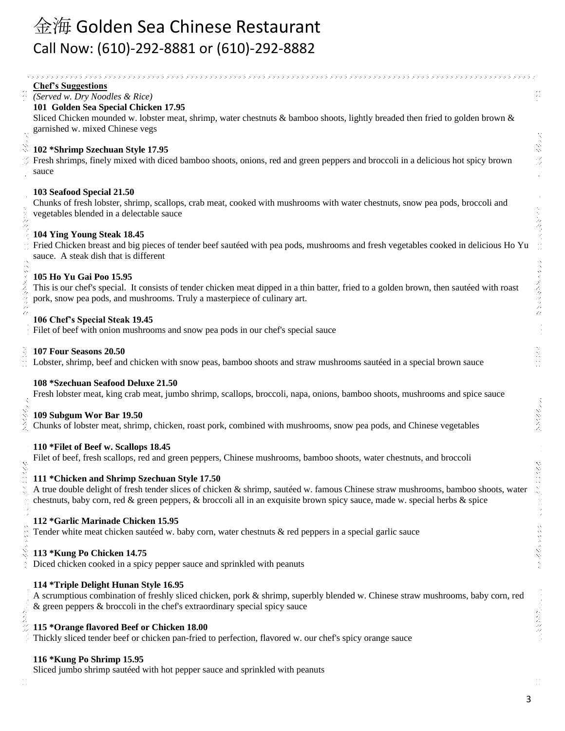# 金海 Golden Sea Chinese Restaurant Call Now: (610)-292-8881 or (610)-292-8882

#### **Chef's Suggestions**

*(Served w. Dry Noodles & Rice)*

#### **101 Golden Sea Special Chicken 17.95**

Sliced Chicken mounded w. lobster meat, shrimp, water chestnuts & bamboo shoots, lightly breaded then fried to golden brown & garnished w. mixed Chinese vegs

#### **102 \*Shrimp Szechuan Style 17.95**

Fresh shrimps, finely mixed with diced bamboo shoots, onions, red and green peppers and broccoli in a delicious hot spicy brown sauce

#### **103 Seafood Special 21.50**

Chunks of fresh lobster, shrimp, scallops, crab meat, cooked with mushrooms with water chestnuts, snow pea pods, broccoli and vegetables blended in a delectable sauce

#### **104 Ying Young Steak 18.45**

Fried Chicken breast and big pieces of tender beef sautéed with pea pods, mushrooms and fresh vegetables cooked in delicious Ho Yu sauce. A steak dish that is different

### **105 Ho Yu Gai Poo 15.95**

This is our chef's special. It consists of tender chicken meat dipped in a thin batter, fried to a golden brown, then sautéed with roast pork, snow pea pods, and mushrooms. Truly a masterpiece of culinary art.

#### **106 Chef's Special Steak 19.45**

Filet of beef with onion mushrooms and snow pea pods in our chef's special sauce

#### **107 Four Seasons 20.50**

Lobster, shrimp, beef and chicken with snow peas, bamboo shoots and straw mushrooms sautéed in a special brown sauce

### **108 \*Szechuan Seafood Deluxe 21.50**

Fresh lobster meat, king crab meat, jumbo shrimp, scallops, broccoli, napa, onions, bamboo shoots, mushrooms and spice sauce

#### **109 Subgum Wor Bar 19.50**

Chunks of lobster meat, shrimp, chicken, roast pork, combined with mushrooms, snow pea pods, and Chinese vegetables

### **110 \*Filet of Beef w. Scallops 18.45**

Filet of beef, fresh scallops, red and green peppers, Chinese mushrooms, bamboo shoots, water chestnuts, and broccoli

### **111 \*Chicken and Shrimp Szechuan Style 17.50**

A true double delight of fresh tender slices of chicken & shrimp, sautéed w. famous Chinese straw mushrooms, bamboo shoots, water chestnuts, baby corn, red & green peppers, & broccoli all in an exquisite brown spicy sauce, made w. special herbs & spice

### **112 \*Garlic Marinade Chicken 15.95**

Tender white meat chicken sautéed w. baby corn, water chestnuts & red peppers in a special garlic sauce

### **113 \*Kung Po Chicken 14.75**

Diced chicken cooked in a spicy pepper sauce and sprinkled with peanuts

### **114 \*Triple Delight Hunan Style 16.95**

A scrumptious combination of freshly sliced chicken, pork & shrimp, superbly blended w. Chinese straw mushrooms, baby corn, red & green peppers & broccoli in the chef's extraordinary special spicy sauce

### **115 \*Orange flavored Beef or Chicken 18.00**

Thickly sliced tender beef or chicken pan-fried to perfection, flavored w. our chef's spicy orange sauce

### **116 \*Kung Po Shrimp 15.95**

Sliced jumbo shrimp sautéed with hot pepper sauce and sprinkled with peanuts